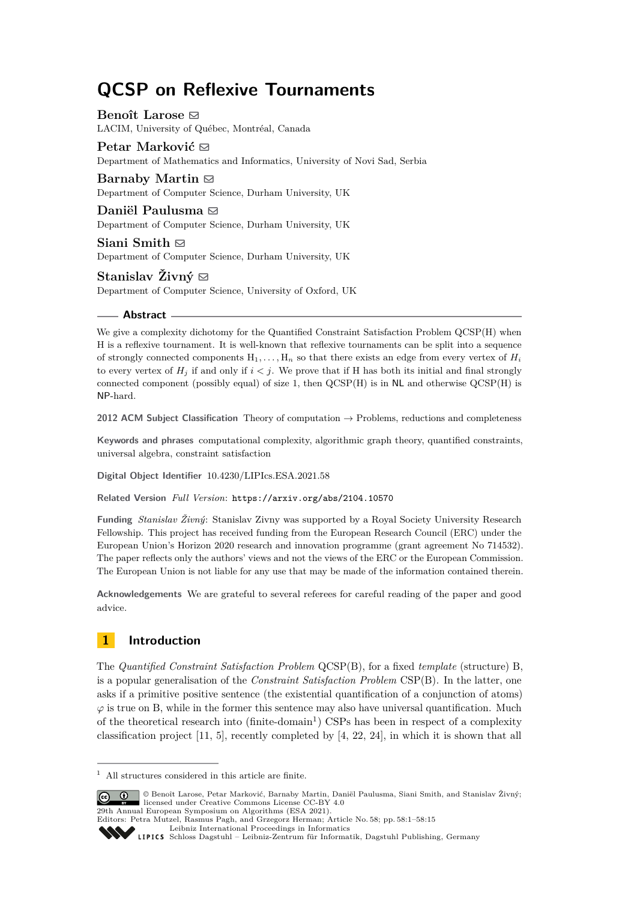# **QCSP on Reflexive Tournaments**

**Benoît Larose** ⊠ LACIM, University of Québec, Montréal, Canada

**Petar Marković** ⊠ Department of Mathematics and Informatics, University of Novi Sad, Serbia

**Barnaby Martin** ⊠ Department of Computer Science, Durham University, UK

**Daniël Paulusma** ⊠ Department of Computer Science, Durham University, UK

**Siani Smith** ⊠ Department of Computer Science, Durham University, UK

**Stanislav Živný** ⊠ Department of Computer Science, University of Oxford, UK

### **Abstract**

We give a complexity dichotomy for the Quantified Constraint Satisfaction Problem QCSP(H) when H is a reflexive tournament. It is well-known that reflexive tournaments can be split into a sequence of strongly connected components  $H_1, \ldots, H_n$  so that there exists an edge from every vertex of  $H_i$ to every vertex of  $H_i$  if and only if  $i < j$ . We prove that if H has both its initial and final strongly connected component (possibly equal) of size 1, then  $QCSP(H)$  is in NL and otherwise  $QCSP(H)$  is NP-hard.

**2012 ACM Subject Classification** Theory of computation → Problems, reductions and completeness

**Keywords and phrases** computational complexity, algorithmic graph theory, quantified constraints, universal algebra, constraint satisfaction

**Digital Object Identifier** [10.4230/LIPIcs.ESA.2021.58](https://doi.org/10.4230/LIPIcs.ESA.2021.58)

**Related Version** *Full Version*: <https://arxiv.org/abs/2104.10570>

**Funding** *Stanislav Živný*: Stanislav Zivny was supported by a Royal Society University Research Fellowship. This project has received funding from the European Research Council (ERC) under the European Union's Horizon 2020 research and innovation programme (grant agreement No 714532). The paper reflects only the authors' views and not the views of the ERC or the European Commission. The European Union is not liable for any use that may be made of the information contained therein.

**Acknowledgements** We are grateful to several referees for careful reading of the paper and good advice.

# **1 Introduction**

The *Quantified Constraint Satisfaction Problem* QCSP(B), for a fixed *template* (structure) B, is a popular generalisation of the *Constraint Satisfaction Problem* CSP(B). In the latter, one asks if a primitive positive sentence (the existential quantification of a conjunction of atoms)  $\varphi$  is true on B, while in the former this sentence may also have universal quantification. Much of the theoretical research into  $(\text{finite-domain}^1)$  $(\text{finite-domain}^1)$  $(\text{finite-domain}^1)$  CSPs has been in respect of a complexity classification project [\[11,](#page-13-0) [5\]](#page-13-1), recently completed by [\[4,](#page-13-2) [22,](#page-14-0) [24\]](#page-14-1), in which it is shown that all

Editors: Petra Mutzel, Rasmus Pagh, and Grzegorz Herman; Article No. 58; pp. 58:1–58:15

[Leibniz International Proceedings in Informatics](https://www.dagstuhl.de/lipics/)

<span id="page-0-0"></span> $^{\rm 1}$  All structures considered in this article are finite.

<sup>©</sup> Benoît Larose, Petar Marković, Barnaby Martin, Daniël Paulusma, Siani Smith, and Stanislav Živný; licensed under Creative Commons License CC-BY 4.0 29th Annual European Symposium on Algorithms (ESA 2021).

Leibniz International Froceedings in Informatik, Dagstuhl Publishing, Germany<br>LIPICS [Schloss Dagstuhl – Leibniz-Zentrum für Informatik, Dagstuhl Publishing, Germany](https://www.dagstuhl.de)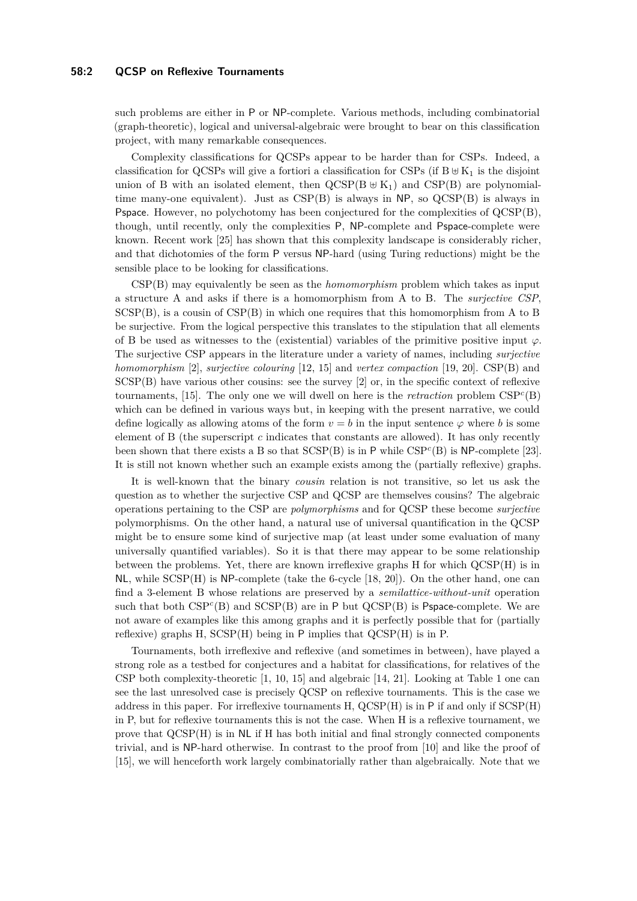#### **58:2 QCSP on Reflexive Tournaments**

such problems are either in P or NP-complete. Various methods, including combinatorial (graph-theoretic), logical and universal-algebraic were brought to bear on this classification project, with many remarkable consequences.

Complexity classifications for QCSPs appear to be harder than for CSPs. Indeed, a classification for QCSPs will give a fortiori a classification for CSPs (if  $B \oplus K_1$  is the disjoint union of B with an isolated element, then  $QCSP(B \oplus K_1)$  and  $CSP(B)$  are polynomialtime many-one equivalent). Just as  $CSP(B)$  is always in NP, so  $QCSP(B)$  is always in Pspace. However, no polychotomy has been conjectured for the complexities of QCSP(B), though, until recently, only the complexities P, NP-complete and Pspace-complete were known. Recent work [\[25\]](#page-14-2) has shown that this complexity landscape is considerably richer, and that dichotomies of the form P versus NP-hard (using Turing reductions) might be the sensible place to be looking for classifications.

CSP(B) may equivalently be seen as the *homomorphism* problem which takes as input a structure A and asks if there is a homomorphism from A to B. The *surjective CSP*,  $SCSP(B)$ , is a cousin of  $CSP(B)$  in which one requires that this homomorphism from A to B be surjective. From the logical perspective this translates to the stipulation that all elements of B be used as witnesses to the (existential) variables of the primitive positive input  $\varphi$ . The surjective CSP appears in the literature under a variety of names, including *surjective homomorphism* [\[2\]](#page-13-3), *surjective colouring* [\[12,](#page-13-4) [15\]](#page-13-5) and *vertex compaction* [\[19,](#page-13-6) [20\]](#page-14-3). CSP(B) and SCSP(B) have various other cousins: see the survey [\[2\]](#page-13-3) or, in the specific context of reflexive tournaments, [\[15\]](#page-13-5). The only one we will dwell on here is the *retraction* problem  $CSP<sup>c</sup>(B)$ which can be defined in various ways but, in keeping with the present narrative, we could define logically as allowing atoms of the form  $v = b$  in the input sentence  $\varphi$  where *b* is some element of B (the superscript *c* indicates that constants are allowed). It has only recently been shown that there exists a B so that SCSP(B) is in P while CSP*<sup>c</sup>* (B) is NP-complete [\[23\]](#page-14-4). It is still not known whether such an example exists among the (partially reflexive) graphs.

It is well-known that the binary *cousin* relation is not transitive, so let us ask the question as to whether the surjective CSP and QCSP are themselves cousins? The algebraic operations pertaining to the CSP are *polymorphisms* and for QCSP these become *surjective* polymorphisms. On the other hand, a natural use of universal quantification in the QCSP might be to ensure some kind of surjective map (at least under some evaluation of many universally quantified variables). So it is that there may appear to be some relationship between the problems. Yet, there are known irreflexive graphs H for which QCSP(H) is in  $NL$ , while  $SCSP(H)$  is  $NP$ -complete (take the 6-cycle [\[18,](#page-13-7) [20\]](#page-14-3)). On the other hand, one can find a 3-element B whose relations are preserved by a *semilattice-without-unit* operation such that both  $CSP<sup>c</sup>(B)$  and  $SCSP(B)$  are in P but  $QCSP(B)$  is Pspace-complete. We are not aware of examples like this among graphs and it is perfectly possible that for (partially reflexive) graphs  $H$ ,  $SCSP(H)$  being in  $P$  implies that  $QCSP(H)$  is in  $P$ .

Tournaments, both irreflexive and reflexive (and sometimes in between), have played a strong role as a testbed for conjectures and a habitat for classifications, for relatives of the CSP both complexity-theoretic [\[1,](#page-13-8) [10,](#page-13-9) [15\]](#page-13-5) and algebraic [\[14,](#page-13-10) [21\]](#page-14-5). Looking at Table [1](#page-2-0) one can see the last unresolved case is precisely QCSP on reflexive tournaments. This is the case we address in this paper. For irreflexive tournaments H, QCSP(H) is in P if and only if SCSP(H) in P, but for reflexive tournaments this is not the case. When H is a reflexive tournament, we prove that QCSP(H) is in NL if H has both initial and final strongly connected components trivial, and is NP-hard otherwise. In contrast to the proof from [\[10\]](#page-13-9) and like the proof of [\[15\]](#page-13-5), we will henceforth work largely combinatorially rather than algebraically. Note that we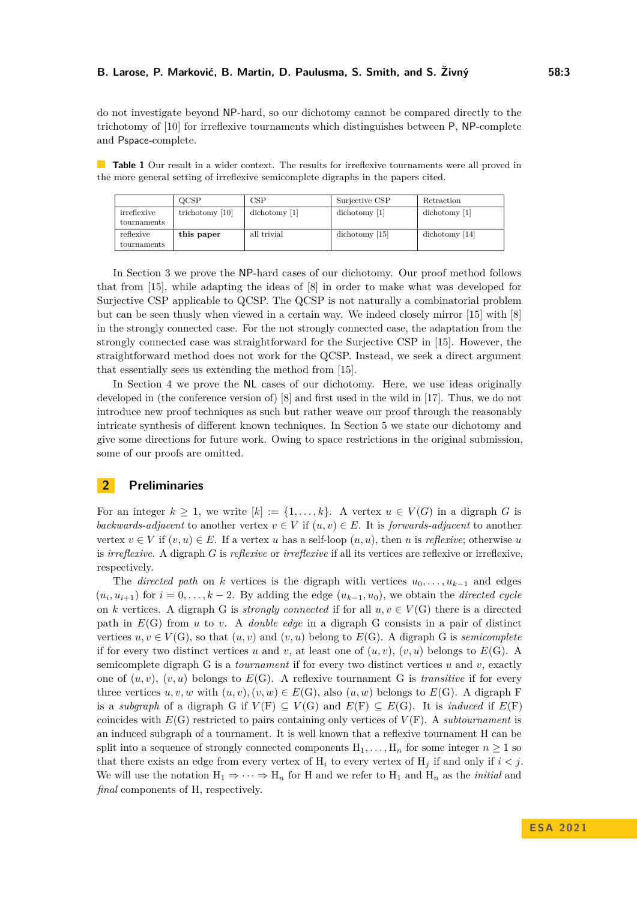#### **B. Larose, P. Marković, B. Martin, D. Paulusma, S. Smith, and S. Živný 58:3**

do not investigate beyond NP-hard, so our dichotomy cannot be compared directly to the trichotomy of [\[10\]](#page-13-9) for irreflexive tournaments which distinguishes between P, NP-complete and Pspace-complete.

<span id="page-2-0"></span>**Table 1** Our result in a wider context. The results for irreflexive tournaments were all proved in the more general setting of irreflexive semicomplete digraphs in the papers cited.

|                            | OCSP              | CSP           | Surjective CSP        | Retraction     |
|----------------------------|-------------------|---------------|-----------------------|----------------|
| irreflexive<br>tournaments | trichotomy $[10]$ | dichotomy [1] | $\sim$ dichotomy [1]  | dichotomy [1]  |
| reflexive<br>tournaments   | this paper        | all trivial   | $\sim$ dichotomy [15] | dichotomy [14] |

In Section [3](#page-4-0) we prove the NP-hard cases of our dichotomy. Our proof method follows that from [\[15\]](#page-13-5), while adapting the ideas of [\[8\]](#page-13-11) in order to make what was developed for Surjective CSP applicable to QCSP. The QCSP is not naturally a combinatorial problem but can be seen thusly when viewed in a certain way. We indeed closely mirror [\[15\]](#page-13-5) with [\[8\]](#page-13-11) in the strongly connected case. For the not strongly connected case, the adaptation from the strongly connected case was straightforward for the Surjective CSP in [\[15\]](#page-13-5). However, the straightforward method does not work for the QCSP. Instead, we seek a direct argument that essentially sees us extending the method from [\[15\]](#page-13-5).

In Section [4](#page-11-0) we prove the NL cases of our dichotomy. Here, we use ideas originally developed in (the conference version of) [\[8\]](#page-13-11) and first used in the wild in [\[17\]](#page-13-12). Thus, we do not introduce new proof techniques as such but rather weave our proof through the reasonably intricate synthesis of different known techniques. In Section [5](#page-12-0) we state our dichotomy and give some directions for future work. Owing to space restrictions in the original submission, some of our proofs are omitted.

# **2 Preliminaries**

For an integer  $k > 1$ , we write  $[k] := \{1, \ldots, k\}$ . A vertex  $u \in V(G)$  in a digraph G is *backwards-adjacent* to another vertex  $v \in V$  if  $(u, v) \in E$ . It is *forwards-adjacent* to another vertex  $v \in V$  if  $(v, u) \in E$ . If a vertex *u* has a self-loop  $(u, u)$ , then *u* is *reflexive*; otherwise *u* is *irreflexive*. A digraph *G* is *reflexive* or *irreflexive* if all its vertices are reflexive or irreflexive, respectively.

The *directed path* on *k* vertices is the digraph with vertices  $u_0, \ldots, u_{k-1}$  and edges  $(u_i, u_{i+1})$  for  $i = 0, \ldots, k-2$ . By adding the edge  $(u_{k-1}, u_0)$ , we obtain the *directed cycle* on *k* vertices. A digraph G is *strongly connected* if for all  $u, v \in V(G)$  there is a directed path in *E*(G) from *u* to *v*. A *double edge* in a digraph G consists in a pair of distinct vertices  $u, v \in V(G)$ , so that  $(u, v)$  and  $(v, u)$  belong to  $E(G)$ . A digraph G is *semicomplete* if for every two distinct vertices *u* and *v*, at least one of  $(u, v)$ ,  $(v, u)$  belongs to  $E(G)$ . A semicomplete digraph G is a *tournament* if for every two distinct vertices *u* and *v*, exactly one of  $(u, v)$ ,  $(v, u)$  belongs to  $E(G)$ . A reflexive tournament G is *transitive* if for every three vertices  $u, v, w$  with  $(u, v), (v, w) \in E(G)$ , also  $(u, w)$  belongs to  $E(G)$ . A digraph F is a *subgraph* of a digraph G if  $V(F) \subseteq V(G)$  and  $E(F) \subseteq E(G)$ . It is *induced* if  $E(F)$ coincides with  $E(G)$  restricted to pairs containing only vertices of  $V(F)$ . A *subtournament* is an induced subgraph of a tournament. It is well known that a reflexive tournament H can be split into a sequence of strongly connected components  $H_1, \ldots, H_n$  for some integer  $n \geq 1$  so that there exists an edge from every vertex of  $H_i$  to every vertex of  $H_j$  if and only if  $i < j$ . We will use the notation  $H_1 \Rightarrow \cdots \Rightarrow H_n$  for H and we refer to  $H_1$  and  $H_n$  as the *initial* and *final* components of H, respectively.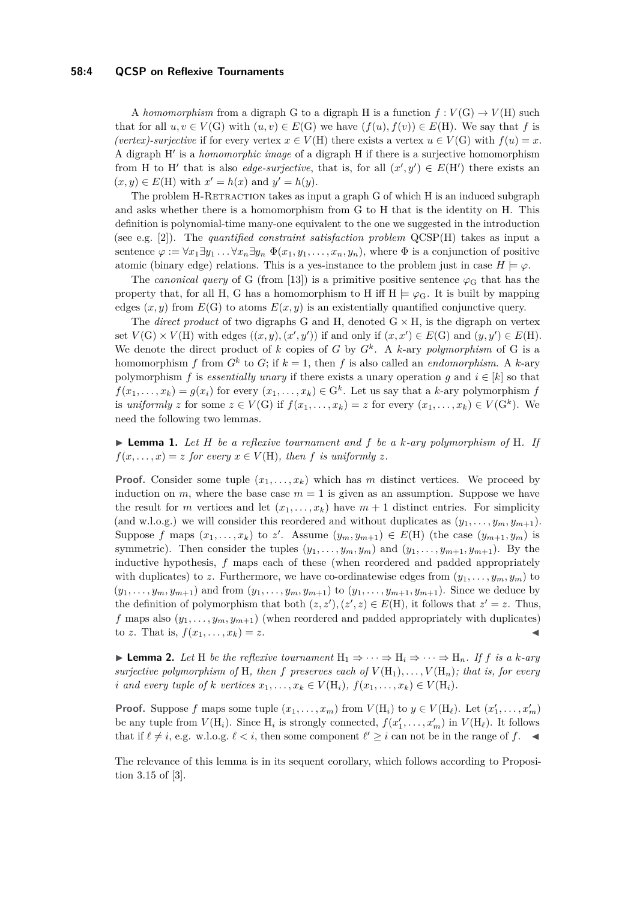#### **58:4 QCSP on Reflexive Tournaments**

A *homomorphism* from a digraph G to a digraph H is a function  $f: V(G) \to V(H)$  such that for all  $u, v \in V(G)$  with  $(u, v) \in E(G)$  we have  $(f(u), f(v)) \in E(H)$ . We say that *f* is *(vertex)-surjective* if for every vertex  $x \in V(H)$  there exists a vertex  $u \in V(G)$  with  $f(u) = x$ . A digraph H′ is a *homomorphic image* of a digraph H if there is a surjective homomorphism from H to H' that is also *edge-surjective*, that is, for all  $(x', y') \in E(H')$  there exists an  $(x, y) \in E(H)$  with  $x' = h(x)$  and  $y' = h(y)$ .

The problem H-RETRACTION takes as input a graph G of which H is an induced subgraph and asks whether there is a homomorphism from G to H that is the identity on H. This definition is polynomial-time many-one equivalent to the one we suggested in the introduction (see e.g. [\[2\]](#page-13-3)). The *quantified constraint satisfaction problem* QCSP(H) takes as input a sentence  $\varphi := \forall x_1 \exists y_1 \dots \forall x_n \exists y_n \Phi(x_1, y_1, \dots, x_n, y_n)$ , where  $\Phi$  is a conjunction of positive atomic (binary edge) relations. This is a yes-instance to the problem just in case  $H \models \varphi$ .

The *canonical query* of G (from [\[13\]](#page-13-13)) is a primitive positive sentence  $\varphi_G$  that has the property that, for all H, G has a homomorphism to H iff  $H \models \varphi_G$ . It is built by mapping edges  $(x, y)$  from  $E(G)$  to atoms  $E(x, y)$  is an existentially quantified conjunctive query.

The *direct product* of two digraphs G and H, denoted  $G \times H$ , is the digraph on vertex set  $V(G) \times V(H)$  with edges  $((x, y), (x', y'))$  if and only if  $(x, x') \in E(G)$  and  $(y, y') \in E(H)$ . We denote the direct product of *k* copies of *G* by  $G^k$ . A *k*-ary *polymorphism* of *G* is a homomorphism *f* from  $G^k$  to  $G$ ; if  $k = 1$ , then *f* is also called an *endomorphism*. A *k*-ary polymorphism *f* is *essentially unary* if there exists a unary operation *q* and  $i \in [k]$  so that  $f(x_1, \ldots, x_k) = g(x_i)$  for every  $(x_1, \ldots, x_k) \in G^k$ . Let us say that a *k*-ary polymorphism *f* is *uniformly z* for some  $z \in V(G)$  if  $f(x_1, \ldots, x_k) = z$  for every  $(x_1, \ldots, x_k) \in V(G^k)$ . We need the following two lemmas.

<span id="page-3-0"></span>▶ **Lemma 1.** *Let H be a reflexive tournament and f be a k-ary polymorphism of* H*. If*  $f(x, \ldots, x) = z$  *for every*  $x \in V(H)$ *, then f is uniformly z.* 

**Proof.** Consider some tuple  $(x_1, \ldots, x_k)$  which has *m* distinct vertices. We proceed by induction on  $m$ , where the base case  $m = 1$  is given as an assumption. Suppose we have the result for *m* vertices and let  $(x_1, \ldots, x_k)$  have  $m + 1$  distinct entries. For simplicity (and w.l.o.g.) we will consider this reordered and without duplicates as  $(y_1, \ldots, y_m, y_{m+1})$ . Suppose *f* maps  $(x_1, \ldots, x_k)$  to *z'*. Assume  $(y_m, y_{m+1}) \in E(H)$  (the case  $(y_{m+1}, y_m)$  is symmetric). Then consider the tuples  $(y_1, \ldots, y_m, y_m)$  and  $(y_1, \ldots, y_{m+1}, y_{m+1})$ . By the inductive hypothesis, *f* maps each of these (when reordered and padded appropriately with duplicates) to z. Furthermore, we have co-ordinatewise edges from  $(y_1, \ldots, y_m, y_m)$  to  $(y_1, \ldots, y_m, y_{m+1})$  and from  $(y_1, \ldots, y_m, y_{m+1})$  to  $(y_1, \ldots, y_{m+1}, y_{m+1})$ . Since we deduce by the definition of polymorphism that both  $(z, z'), (z', z) \in E(H)$ , it follows that  $z' = z$ . Thus, *f* maps also  $(y_1, \ldots, y_m, y_{m+1})$  (when reordered and padded appropriately with duplicates) to *z*. That is,  $f(x_1, \ldots, x_k) = z$ .

▶ **Lemma 2.** Let H be the reflexive tournament  $H_1 \Rightarrow \cdots \Rightarrow H_i \Rightarrow \cdots \Rightarrow H_n$ . If f is a k-ary *surjective polymorphism of* H, then f preserves each of  $V(H_1), \ldots, V(H_n)$ ; that is, for every *i* and every tuple of *k* vertices  $x_1, \ldots, x_k \in V(H_i)$ ,  $f(x_1, \ldots, x_k) \in V(H_i)$ .

**Proof.** Suppose *f* maps some tuple  $(x_1, \ldots, x_m)$  from  $V(H_i)$  to  $y \in V(H_\ell)$ . Let  $(x'_1, \ldots, x'_m)$ be any tuple from  $V(H_i)$ . Since  $H_i$  is strongly connected,  $f(x'_1, \ldots, x'_m)$  in  $V(H_\ell)$ . It follows that if  $\ell \neq i$ , e.g. w.l.o.g.  $\ell < i$ , then some component  $\ell' \geq i$  can not be in the range of  $f$ .

The relevance of this lemma is in its sequent corollary, which follows according to Proposition 3.15 of [\[3\]](#page-13-14).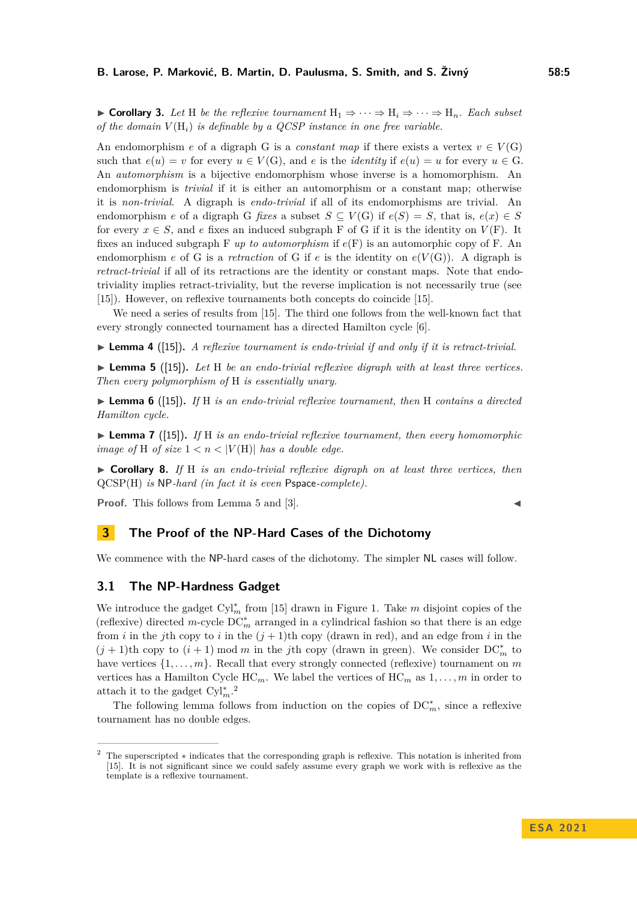**► Corollary 3.** Let H be the reflexive tournament  $H_1 \Rightarrow \cdots \Rightarrow H_i \Rightarrow \cdots \Rightarrow H_n$ . Each subset *of the domain*  $V(H_i)$  *is definable by a QCSP instance in one free variable.* 

An endomorphism *e* of a digraph G is a *constant map* if there exists a vertex  $v \in V(G)$ such that  $e(u) = v$  for every  $u \in V(G)$ , and *e* is the *identity* if  $e(u) = u$  for every  $u \in G$ . An *automorphism* is a bijective endomorphism whose inverse is a homomorphism. An endomorphism is *trivial* if it is either an automorphism or a constant map; otherwise it is *non-trivial*. A digraph is *endo-trivial* if all of its endomorphisms are trivial. An endomorphism *e* of a digraph G *fixes* a subset  $S \subseteq V(G)$  if  $e(S) = S$ , that is,  $e(x) \in S$ for every  $x \in S$ , and *e* fixes an induced subgraph F of G if it is the identity on  $V(F)$ . It fixes an induced subgraph F *up to automorphism* if *e*(F) is an automorphic copy of F. An endomorphism *e* of G is a *retraction* of G if *e* is the identity on  $e(V(G))$ . A digraph is *retract-trivial* if all of its retractions are the identity or constant maps. Note that endotriviality implies retract-triviality, but the reverse implication is not necessarily true (see [\[15\]](#page-13-5)). However, on reflexive tournaments both concepts do coincide [\[15\]](#page-13-5).

We need a series of results from [\[15\]](#page-13-5). The third one follows from the well-known fact that every strongly connected tournament has a directed Hamilton cycle [\[6\]](#page-13-15).

<span id="page-4-7"></span>▶ **Lemma 4** ([\[15\]](#page-13-5))**.** *A reflexive tournament is endo-trivial if and only if it is retract-trivial.*

<span id="page-4-1"></span>▶ **Lemma 5** ([\[15\]](#page-13-5))**.** *Let* H *be an endo-trivial reflexive digraph with at least three vertices. Then every polymorphism of* H *is essentially unary.*

<span id="page-4-3"></span>▶ **Lemma 6** ([\[15\]](#page-13-5))**.** *If* H *is an endo-trivial reflexive tournament, then* H *contains a directed Hamilton cycle.*

<span id="page-4-5"></span>▶ **Lemma 7** ([\[15\]](#page-13-5))**.** *If* H *is an endo-trivial reflexive tournament, then every homomorphic image of* H *of size*  $1 < n < |V(H)|$  *has a double edge.* 

<span id="page-4-6"></span>▶ **Corollary 8.** *If* H *is an endo-trivial reflexive digraph on at least three vertices, then* QCSP(H) *is* NP*-hard (in fact it is even* Pspace*-complete).*

**Proof.** This follows from Lemma [5](#page-4-1) and [\[3\]](#page-13-14).

# <span id="page-4-0"></span>**3 The Proof of the NP-Hard Cases of the Dichotomy**

We commence with the NP-hard cases of the dichotomy. The simpler NL cases will follow.

### **3.1 The NP-Hardness Gadget**

We introduce the gadget Cy<sup>1<sup>\*</sup></sup><sub>*m*</sub> from [\[15\]](#page-13-5) drawn in Figure [1.](#page-5-0) Take *m* disjoint copies of the (reflexive) directed  $m$ -cycle  $DC_m^*$  arranged in a cylindrical fashion so that there is an edge from *i* in the *j*th copy to *i* in the  $(j + 1)$ th copy (drawn in red), and an edge from *i* in the  $(j + 1)$ th copy to  $(i + 1)$  mod *m* in the *j*th copy (drawn in green). We consider  $DC_m^*$  to have vertices  $\{1, \ldots, m\}$ . Recall that every strongly connected (reflexive) tournament on *m* vertices has a Hamilton Cycle  $HC_m$ . We label the vertices of  $HC_m$  as  $1, \ldots, m$  in order to attach it to the gadget  $\text{Cyl}_m^*$ .<sup>[2](#page-4-2)</sup>

<span id="page-4-4"></span>The following lemma follows from induction on the copies of DC<sup>∗</sup> *<sup>m</sup>*, since a reflexive tournament has no double edges.

<span id="page-4-2"></span><sup>2</sup> The superscripted ∗ indicates that the corresponding graph is reflexive. This notation is inherited from [\[15\]](#page-13-5). It is not significant since we could safely assume every graph we work with is reflexive as the template is a reflexive tournament.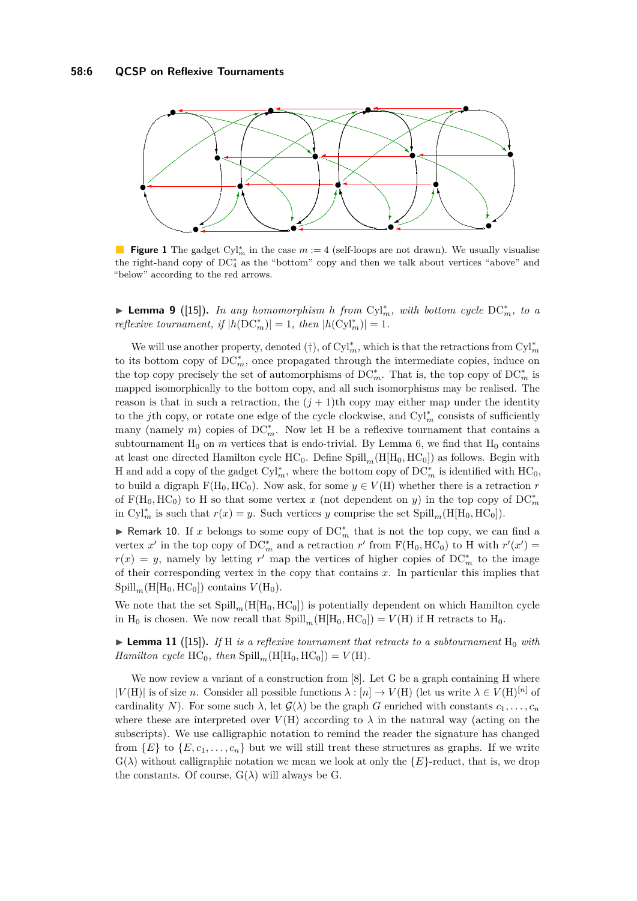<span id="page-5-0"></span>

**Figure 1** The gadget  $\text{Cyl}_m^*$  in the case  $m := 4$  (self-loops are not drawn). We usually visualise the right-hand copy of DC<sup>∗</sup> <sup>4</sup> as the "bottom" copy and then we talk about vertices "above" and "below" according to the red arrows.

▶ **Lemma 9** ([\[15\]](#page-13-5))**.** *In any homomorphism h from* Cyl<sup>∗</sup> *<sup>m</sup>, with bottom cycle* DC<sup>∗</sup> *<sup>m</sup>, to a reflexive tournament, if*  $|h(DC_m^*)| = 1$ *, then*  $|h(Cyl_m^*)| = 1$ *.* 

We will use another property, denoted  $(\dagger)$ , of  $\text{Cyl}_m^*$ , which is that the retractions from  $\text{Cyl}_m^*$ to its bottom copy of DC<sup>∗</sup> *<sup>m</sup>*, once propagated through the intermediate copies, induce on the top copy precisely the set of automorphisms of  $DC_m^*$ . That is, the top copy of  $DC_m^*$  is mapped isomorphically to the bottom copy, and all such isomorphisms may be realised. The reason is that in such a retraction, the  $(j + 1)$ <sup>th</sup> copy may either map under the identity to the *j*th copy, or rotate one edge of the cycle clockwise, and Cyl<sup>∗</sup> *<sup>m</sup>* consists of sufficiently many (namely *m*) copies of DC<sup>∗</sup><sub>*m*</sub>. Now let H be a reflexive tournament that contains a subtournament  $H_0$  on  $m$  vertices that is endo-trivial. By Lemma [6,](#page-4-3) we find that  $H_0$  contains at least one directed Hamilton cycle  $HC_0$ . Define  $Spill_m(H[H_0, HC_0])$  as follows. Begin with H and add a copy of the gadget Cy<sup>1</sup><sup>\*</sup><sub>*m*</sub>, where the bottom copy of DC<sup>\*</sup><sub>*m*</sub> is identified with HC<sub>0</sub>, to build a digraph  $F(H_0, HC_0)$ . Now ask, for some  $y \in V(H)$  whether there is a retraction *r* of  $F(H_0, HC_0)$  to H so that some vertex x (not dependent on y) in the top copy of  $DC_m^*$ in  $\text{Cyl}_m^*$  is such that  $r(x) = y$ . Such vertices *y* comprise the set  $\text{Spill}_m(\text{H}[\text{H}_0, \text{HC}_0]).$ 

▶ Remark 10. If *x* belongs to some copy of DC<sup>∗</sup> *<sup>m</sup>* that is not the top copy, we can find a vertex  $x'$  in the top copy of DC<sup>\*</sup><sub>*m*</sub> and a retraction *r'* from F(H<sub>0</sub>, HC<sub>0</sub>) to H with  $r'(x') =$  $r(x) = y$ , namely by letting *r*<sup>'</sup> map the vertices of higher copies of DC<sup>\*</sup><sub>*m*</sub> to the image of their corresponding vertex in the copy that contains *x*. In particular this implies that  $Spill_m(H[H_0, HC_0])$  contains  $V(H_0)$ .

We note that the set  $\text{Spill}_m(H[H_0, HC_0])$  is potentially dependent on which Hamilton cycle in H<sub>0</sub> is chosen. We now recall that  $Spill_m(H[H_0, HC_0]) = V(H)$  if H retracts to H<sub>0</sub>.

<span id="page-5-1"></span> $\blacktriangleright$  **Lemma 11** ([\[15\]](#page-13-5)). If H is a reflexive tournament that retracts to a subtournament  $H_0$  with *Hamilton cycle*  $HC_0$ *, then*  $Split_{m}(\text{H}[\text{H}_0, \text{HC}_0]) = V(\text{H})$ *.* 

We now review a variant of a construction from [\[8\]](#page-13-11). Let G be a graph containing H where  $|V(H)|$  is of size *n*. Consider all possible functions  $\lambda : [n] \to V(H)$  (let us write  $\lambda \in V(H)^{[n]}$  of cardinality *N*). For some such  $\lambda$ , let  $\mathcal{G}(\lambda)$  be the graph *G* enriched with constants  $c_1, \ldots, c_n$ where these are interpreted over  $V(H)$  according to  $\lambda$  in the natural way (acting on the subscripts). We use calligraphic notation to remind the reader the signature has changed from  $\{E\}$  to  $\{E, c_1, \ldots, c_n\}$  but we will still treat these structures as graphs. If we write  $G(\lambda)$  without calligraphic notation we mean we look at only the  ${E}$ -reduct, that is, we drop the constants. Of course,  $G(\lambda)$  will always be G.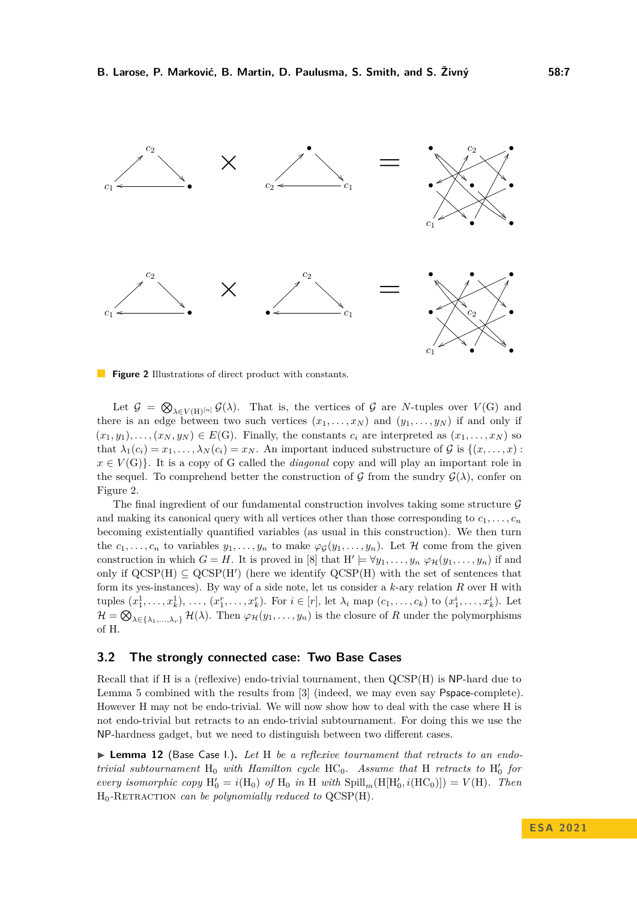<span id="page-6-0"></span>

**Figure 2** Illustrations of direct product with constants.

Let  $\mathcal{G} = \bigotimes_{\lambda \in V(H)^{[n]}} \mathcal{G}(\lambda)$ . That is, the vertices of  $\mathcal{G}$  are *N*-tuples over  $V(G)$  and there is an edge between two such vertices  $(x_1, \ldots, x_N)$  and  $(y_1, \ldots, y_N)$  if and only if  $(x_1, y_1), \ldots, (x_N, y_N) \in E(G)$ . Finally, the constants  $c_i$  are interpreted as  $(x_1, \ldots, x_N)$  so that  $\lambda_1(c_i) = x_1, \ldots, \lambda_N(c_i) = x_N$ . An important induced substructure of G is  $\{(x, \ldots, x):$  $x \in V(G)$ . It is a copy of G called the *diagonal* copy and will play an important role in the sequel. To comprehend better the construction of G from the sundry  $\mathcal{G}(\lambda)$ , confer on Figure [2.](#page-6-0)

The final ingredient of our fundamental construction involves taking some structure  $\mathcal G$ and making its canonical query with all vertices other than those corresponding to  $c_1, \ldots, c_n$ becoming existentially quantified variables (as usual in this construction). We then turn the  $c_1, \ldots, c_n$  to variables  $y_1, \ldots, y_n$  to make  $\varphi_{\mathcal{G}}(y_1, \ldots, y_n)$ . Let H come from the given construction in which  $G = H$ . It is proved in [\[8\]](#page-13-11) that  $H' \models \forall y_1, \ldots, y_n \; \varphi_{\mathcal{H}}(y_1, \ldots, y_n)$  if and only if  $QCSP(H) \subseteq QCSP(H')$  (here we identify  $QCSP(H)$  with the set of sentences that form its yes-instances). By way of a side note, let us consider a *k*-ary relation *R* over H with tuples  $(x_1^1, ..., x_k^1), ..., (x_1^r, ..., x_k^r)$ . For  $i \in [r]$ , let  $\lambda_i$  map  $(c_1, ..., c_k)$  to  $(x_1^i, ..., x_k^i)$ . Let  $\mathcal{H} = \bigotimes_{\lambda \in \{\lambda_1, ..., \lambda_r\}} \mathcal{H}(\lambda)$ . Then  $\varphi_{\mathcal{H}}(y_1, ..., y_n)$  is the closure of *R* under the polymorphisms of H.

## **3.2 The strongly connected case: Two Base Cases**

Recall that if H is a (reflexive) endo-trivial tournament, then QCSP(H) is NP-hard due to Lemma [5](#page-4-1) combined with the results from [\[3\]](#page-13-14) (indeed, we may even say Pspace-complete). However H may not be endo-trivial. We will now show how to deal with the case where H is not endo-trivial but retracts to an endo-trivial subtournament. For doing this we use the NP-hardness gadget, but we need to distinguish between two different cases.

<span id="page-6-1"></span>▶ **Lemma 12** (Base Case I.)**.** *Let* H *be a reflexive tournament that retracts to an endotrivial subtournament*  $H_0$  *with Hamilton cycle*  $HC_0$ *. Assume that*  $H$  *retracts to*  $H'_0$  *for every isomorphic copy*  $H'_0 = i(H_0)$  *of*  $H_0$  *in* H *with*  $\text{Spill}_m(H[H'_0, i(HC_0)]) = V(H)$ *. Then* H0*-*Retraction *can be polynomially reduced to* QCSP(H)*.*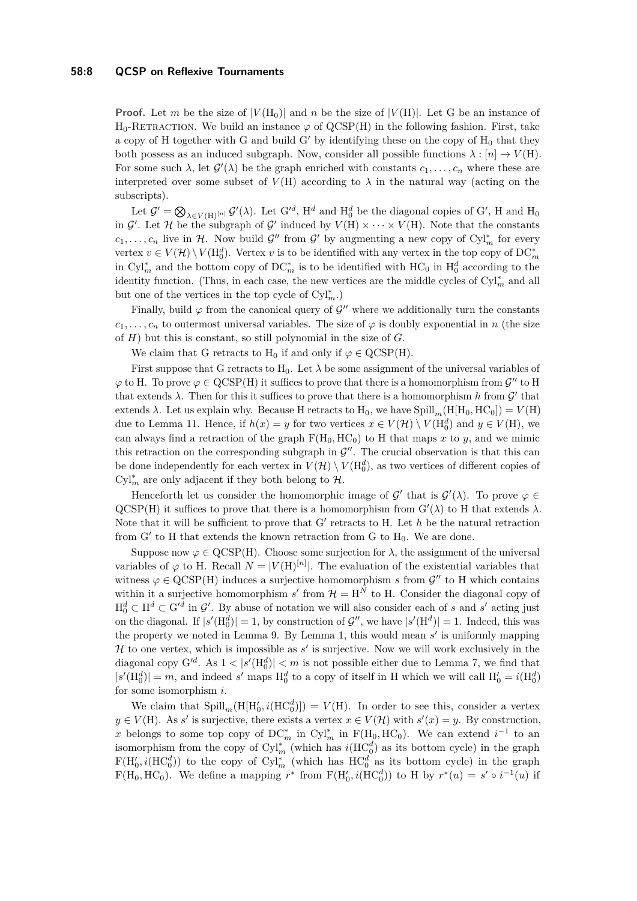**Proof.** Let *m* be the size of  $|V(H_0)|$  and *n* be the size of  $|V(H)|$ . Let G be an instance of H<sub>0</sub>-RETRACTION. We build an instance  $\varphi$  of QCSP(H) in the following fashion. First, take a copy of H together with G and build G' by identifying these on the copy of  $H_0$  that they both possess as an induced subgraph. Now, consider all possible functions  $\lambda : [n] \to V(H)$ . For some such  $\lambda$ , let  $\mathcal{G}'(\lambda)$  be the graph enriched with constants  $c_1, \ldots, c_n$  where these are interpreted over some subset of  $V(H)$  according to  $\lambda$  in the natural way (acting on the subscripts).

Let  $\mathcal{G}' = \bigotimes_{\lambda \in V(H)} [n] \mathcal{G}'(\lambda)$ . Let  $G'^d$ , H<sup>d</sup> and H<sub>0</sub><sup>d</sup> be the diagonal copies of G', H and H<sub>0</sub> in  $\mathcal{G}'$ . Let  $\mathcal{H}$  be the subgraph of  $\mathcal{G}'$  induced by  $V(H) \times \cdots \times V(H)$ . Note that the constants  $c_1, \ldots, c_n$  live in H. Now build  $\mathcal{G}''$  from  $\mathcal{G}'$  by augmenting a new copy of  $Cyl_m^*$  for every vertex  $v \in V(\mathcal{H}) \setminus V(H_0^d)$ . Vertex *v* is to be identified with any vertex in the top copy of  $DC_m^*$ in Cyl<sup>∗</sup><sub>*m*</sub> and the bottom copy of DC<sup>\*</sup><sub>*m*</sub> is to be identified with HC<sub>0</sub> in H<sub>0</sub><sup>*d*</sup> according to the identity function. (Thus, in each case, the new vertices are the middle cycles of Cyl<sup>∗</sup> *<sup>m</sup>* and all but one of the vertices in the top cycle of  $\mathrm{Cyl}^*_m$ .)

Finally, build  $\varphi$  from the canonical query of  $\mathcal{G}''$  where we additionally turn the constants  $c_1, \ldots, c_n$  to outermost universal variables. The size of  $\varphi$  is doubly exponential in *n* (the size of *H*) but this is constant, so still polynomial in the size of *G*.

We claim that G retracts to H<sub>0</sub> if and only if  $\varphi \in \text{QCSP(H)}$ .

First suppose that G retracts to  $H_0$ . Let  $\lambda$  be some assignment of the universal variables of  $\varphi$  to H. To prove  $\varphi \in \text{QCSP(H)}$  it suffices to prove that there is a homomorphism from  $\mathcal{G}''$  to H that extends  $\lambda$ . Then for this it suffices to prove that there is a homomorphism *h* from  $\mathcal{G}'$  that extends  $\lambda$ . Let us explain why. Because H retracts to H<sub>0</sub>, we have Spill<sub>m</sub>(H[H<sub>0</sub>, HC<sub>0</sub>]) =  $V$ (H) due to Lemma [11.](#page-5-1) Hence, if  $h(x) = y$  for two vertices  $x \in V(\mathcal{H}) \setminus V(H_0^d)$  and  $y \in V(H)$ , we can always find a retraction of the graph  $F(H_0, HC_0)$  to H that maps x to y, and we mimic this retraction on the corresponding subgraph in  $\mathcal{G}''$ . The crucial observation is that this can be done independently for each vertex in  $V(\mathcal{H}) \setminus V(\mathrm{H_0^d})$ , as two vertices of different copies of  $\text{Cyl}_m^*$  are only adjacent if they both belong to  $\mathcal{H}$ .

Henceforth let us consider the homomorphic image of  $\mathcal{G}'$  that is  $\mathcal{G}'(\lambda)$ . To prove  $\varphi \in$  $QCSP(H)$  it suffices to prove that there is a homomorphism from  $G'(\lambda)$  to H that extends  $\lambda$ . Note that it will be sufficient to prove that G' retracts to H. Let h be the natural retraction from  $G'$  to  $H$  that extends the known retraction from  $G$  to  $H_0$ . We are done.

Suppose now  $\varphi \in \text{QCSP(H)}$ . Choose some surjection for  $\lambda$ , the assignment of the universal variables of  $\varphi$  to H. Recall  $N = |V(H)^{[n]}|$ . The evaluation of the existential variables that witness  $\varphi \in \text{QCSP(H)}$  induces a surjective homomorphism *s* from  $\mathcal{G}''$  to H which contains within it a surjective homomorphism  $s'$  from  $\mathcal{H} = H^N$  to H. Consider the diagonal copy of  $H_0^d \subset H^d \subset G'^d$  in  $\mathcal{G}'$ . By abuse of notation we will also consider each of *s* and *s'* acting just on the diagonal. If  $|s'(H_0^d)| = 1$ , by construction of  $\mathcal{G}''$ , we have  $|s'(H^d)| = 1$ . Indeed, this was the property we noted in Lemma [9.](#page-4-4) By Lemma [1,](#page-3-0) this would mean  $s'$  is uniformly mapping  $H$  to one vertex, which is impossible as  $s'$  is surjective. Now we will work exclusively in the diagonal copy  $G'^d$ . As  $1 < |s'(H_0^d)| < m$  is not possible either due to Lemma [7,](#page-4-5) we find that  $|s'(H_0^d)| = m$ , and indeed *s'* maps  $H_0^d$  to a copy of itself in H which we will call  $H_0' = i(H_0^d)$ for some isomorphism *i*.

We claim that  $\text{Spill}_m(\text{H}[\text{H}'_0, i(\text{HC}'_0)]) = V(\text{H})$ . In order to see this, consider a vertex  $y \in V(H)$ . As *s*' is surjective, there exists a vertex  $x \in V(H)$  with  $s'(x) = y$ . By construction, *x* belongs to some top copy of DC<sup>\*</sup><sub>*m*</sub> in Cyl<sup>\*</sup><sub>*m*</sub> in F(H<sub>0</sub>, HC<sub>0</sub>). We can extend  $i^{-1}$  to an isomorphism from the copy of  $\text{Cyl}_m^*$  (which has  $i(\text{HC}_0^d)$ ) as its bottom cycle) in the graph  $F(H'_0, i(HC_0^d))$  to the copy of  $Cyl_m^*$  (which has  $HC_0^d$  as its bottom cycle) in the graph  $F(H_0, HC_0)$ . We define a mapping  $r^*$  from  $F(H'_0, i(HC_0^d))$  to H by  $r^*(u) = s' \circ i^{-1}(u)$  if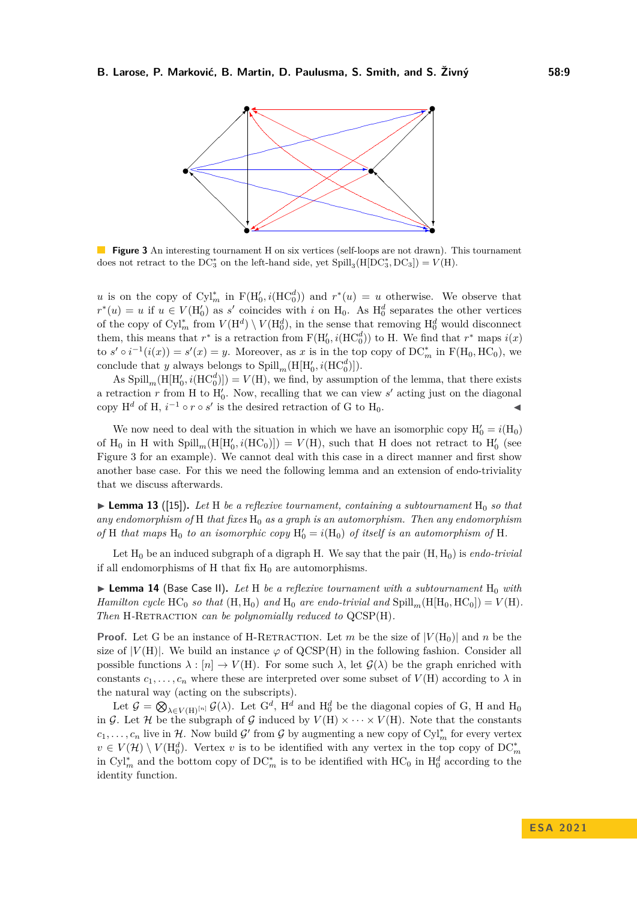<span id="page-8-0"></span>

**Figure 3** An interesting tournament H on six vertices (self-loops are not drawn). This tournament does not retract to the  $DC_3^*$  on the left-hand side, yet  $Spill_3(H[DC_3^*,DC_3]) = V(H)$ .

*u* is on the copy of  $\text{Cyl}_{m}^{*}$  in  $F(H'_{0}, i(\text{HC}_{0}^{d}))$  and  $r^{*}(u) = u$  otherwise. We observe that  $r^*(u) = u$  if  $u \in V(H'_0)$  as *s'* coincides with *i* on H<sub>0</sub>. As  $H_0^d$  separates the other vertices of the copy of  $\text{Cyl}_m^*$  from  $V(\text{H}^d) \setminus V(\text{H}_0^d)$ , in the sense that removing  $\text{H}_0^d$  would disconnect them, this means that  $r^*$  is a retraction from  $F(H'_0, i(HC_0^d))$  to H. We find that  $r^*$  maps  $i(x)$ to  $s' \circ i^{-1}(i(x)) = s'(x) = y$ . Moreover, as *x* is in the top copy of DC<sup>\*</sup><sub>*m*</sub> in F(H<sub>0</sub>, HC<sub>0</sub>), we conclude that *y* always belongs to  $\text{Spill}_{m}(\text{H}[\text{H}'_{0}, i(\text{HC}'_{0})])$ .

As  $\text{Spill}_m(\text{H}[\text{H}'_0, i(\text{HC}'_0)]) = V(\text{H})$ , we find, by assumption of the lemma, that there exists a retraction  $r$  from H to  $H'_{0}$ . Now, recalling that we can view  $s'$  acting just on the diagonal copy  $H^d$  of H,  $i^{-1} \circ r \circ s'$  is the desired retraction of G to H<sub>0</sub>.

We now need to deal with the situation in which we have an isomorphic copy  $H'_0 = i(H_0)$ of H<sub>0</sub> in H with  $\text{Spill}_m(\text{H}[\text{H}'_0, i(\text{HC}_0)]) = V(\text{H})$ , such that H does not retract to  $\text{H}'_0$  (see Figure [3](#page-8-0) for an example). We cannot deal with this case in a direct manner and first show another base case. For this we need the following lemma and an extension of endo-triviality that we discuss afterwards.

<span id="page-8-1"></span> $\blacktriangleright$  **Lemma 13** ([\[15\]](#page-13-5)). Let H be a reflexive tournament, containing a subtournament H<sub>0</sub> so that *any endomorphism of* H *that fixes* H<sup>0</sup> *as a graph is an automorphism. Then any endomorphism* of H *that maps* H<sub>0</sub> *to an isomorphic copy*  $H'_0 = i(H_0)$  *of itself is an automorphism of* H.

Let H<sup>0</sup> be an induced subgraph of a digraph H. We say that the pair (H*,* H0) is *endo-trivial* if all endomorphisms of H that fix  $H_0$  are automorphisms.

<span id="page-8-2"></span> $\triangleright$  **Lemma 14** (Base Case II). Let H be a reflexive tournament with a subtournament  $H_0$  with *Hamilton cycle*  $HC_0$  *so that*  $(H, H_0)$  *and*  $H_0$  *are endo-trivial and*  $Split[H_0, HC_0]) = V(H)$ *. Then* H-RETRACTION *can be polynomially reduced to*  $QCSP(H)$ *.* 

**Proof.** Let G be an instance of H-RETRACTION. Let m be the size of  $|V(H_0)|$  and n be the size of  $|V(H)|$ . We build an instance  $\varphi$  of QCSP(H) in the following fashion. Consider all possible functions  $\lambda : [n] \to V(H)$ . For some such  $\lambda$ , let  $\mathcal{G}(\lambda)$  be the graph enriched with constants  $c_1, \ldots, c_n$  where these are interpreted over some subset of  $V(H)$  according to  $\lambda$  in the natural way (acting on the subscripts).

Let  $\mathcal{G} = \bigotimes_{\lambda \in V(H)} [n] \mathcal{G}(\lambda)$ . Let  $G^d$ , H<sup>d</sup> and H<sub>0</sub><sup>d</sup> be the diagonal copies of G, H and H<sub>0</sub> in G. Let H be the subgraph of G induced by  $V(H) \times \cdots \times V(H)$ . Note that the constants  $c_1, \ldots, c_n$  live in H. Now build G' from G by augmenting a new copy of Cyl<sup>\*</sup><sub>n</sub> for every vertex  $v \in V(\mathcal{H}) \setminus V(\mathrm{H}_0^d)$ . Vertex *v* is to be identified with any vertex in the top copy of DC<sup>\*</sup><sub>*m*</sub> in Cyl<sup>∗</sup><sub>*m*</sub> and the bottom copy of DC<sup>∗</sup><sub>*m*</sub> is to be identified with HC<sub>0</sub> in H<sub>0</sub><sup>*d*</sup> according to the identity function.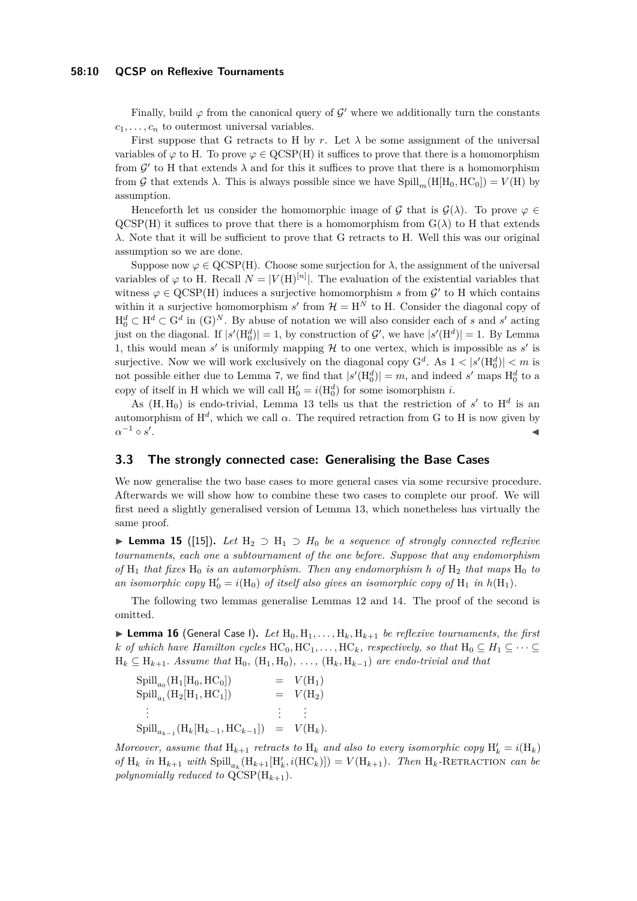#### **58:10 QCSP on Reflexive Tournaments**

Finally, build  $\varphi$  from the canonical query of  $\mathcal{G}'$  where we additionally turn the constants  $c_1, \ldots, c_n$  to outermost universal variables.

First suppose that G retracts to H by r. Let  $\lambda$  be some assignment of the universal variables of  $\varphi$  to H. To prove  $\varphi \in \mathrm{QCSP(H)}$  it suffices to prove that there is a homomorphism from  $\mathcal{G}'$  to H that extends  $\lambda$  and for this it suffices to prove that there is a homomorphism from G that extends  $\lambda$ . This is always possible since we have Spill<sub>m</sub>(H[H<sub>0</sub>, HC<sub>0</sub>]) =  $V(H)$  by assumption.

Henceforth let us consider the homomorphic image of G that is  $\mathcal{G}(\lambda)$ . To prove  $\varphi \in$  $QCSP(H)$  it suffices to prove that there is a homomorphism from  $G(\lambda)$  to H that extends *λ*. Note that it will be sufficient to prove that G retracts to H. Well this was our original assumption so we are done.

Suppose now  $\varphi \in \text{QCSP(H)}$ . Choose some surjection for  $\lambda$ , the assignment of the universal variables of  $\varphi$  to H. Recall  $N = |V(H)^{[n]}|$ . The evaluation of the existential variables that witness  $\varphi \in \text{QCSP(H)}$  induces a surjective homomorphism *s* from  $\mathcal{G}'$  to H which contains within it a surjective homomorphism  $s'$  from  $\mathcal{H} = H^N$  to H. Consider the diagonal copy of  $H_0^d \subset H^d \subset G^d$  in  $(G)^N$ . By abuse of notation we will also consider each of *s* and *s'* acting just on the diagonal. If  $|s'(H_0^d)| = 1$ , by construction of  $\mathcal{G}'$ , we have  $|s'(H^d)| = 1$ . By Lemma [1,](#page-3-0) this would mean  $s'$  is uniformly mapping  $H$  to one vertex, which is impossible as  $s'$  is surjective. Now we will work exclusively on the diagonal copy  $G^d$ . As  $1 < |s'(H_0^d)| < m$  is not possible either due to Lemma [7,](#page-4-5) we find that  $|s'(H_0^d)| = m$ , and indeed  $s'$  maps  $H_0^d$  to a copy of itself in H which we will call  $H'_0 = i(H_0^d)$  for some isomorphism *i*.

As  $(H, H_0)$  is endo-trivial, Lemma [13](#page-8-1) tells us that the restriction of  $s'$  to  $H^d$  is an automorphism of  $H^d$ , which we call  $\alpha$ . The required retraction from G to H is now given by  $\alpha^{-1} \circ s'$ . ◀

# **3.3 The strongly connected case: Generalising the Base Cases**

We now generalise the two base cases to more general cases via some recursive procedure. Afterwards we will show how to combine these two cases to complete our proof. We will first need a slightly generalised version of Lemma [13,](#page-8-1) which nonetheless has virtually the same proof.

<span id="page-9-0"></span>▶ **Lemma 15** ([\[15\]](#page-13-5))**.** *Let* H<sup>2</sup> ⊃ H<sup>1</sup> ⊃ *H*<sup>0</sup> *be a sequence of strongly connected reflexive tournaments, each one a subtournament of the one before. Suppose that any endomorphism of*  $H_1$  *that fixes*  $H_0$  *is an automorphism. Then any endomorphism h of*  $H_2$  *that maps*  $H_0$  *to* an isomorphic copy  $H'_0 = i(H_0)$  of itself also gives an isomorphic copy of  $H_1$  in  $h(H_1)$ .

The following two lemmas generalise Lemmas [12](#page-6-1) and [14.](#page-8-2) The proof of the second is omitted.

<span id="page-9-1"></span> $\blacktriangleright$  **Lemma 16** (General Case I). Let  $H_0, H_1, \ldots, H_k, H_{k+1}$  be reflexive tournaments, the first *k of which have Hamilton cycles*  $HC_0, HC_1, \ldots, HC_k$ *, respectively, so that*  $H_0 \subseteq H_1 \subseteq \cdots \subseteq$  $H_k \subseteq H_{k+1}$ *. Assume that*  $H_0$ *,*  $(H_1, H_0)$ *, ...,*  $(H_k, H_{k-1})$  *are endo-trivial and that* 

| $\text{Spill}_{a_0}(\text{H}_1[\text{H}_0, \text{HC}_0])$             | $= V(H_1)$                             |
|-----------------------------------------------------------------------|----------------------------------------|
| $\text{Spill}_{a_1}(\text{H}_2[\text{H}_1,\text{HC}_1])$              | $= V(H_2)$                             |
|                                                                       | $\mathbb{R}^n \times \mathbb{R}^{n+1}$ |
| $\text{Spill}_{a_{k-1}}(\text{H}_k[\text{H}_{k-1}, \text{HC}_{k-1}])$ | $= V(H_k).$                            |

*Moreover, assume that*  $H_{k+1}$  *retracts to*  $H_k$  *and also to every isomorphic copy*  $H'_k = i(H_k)$  $of$  H<sub>k</sub> in H<sub>k+1</sub> with  $\text{Spill}_{a_k}(\text{H}_{k+1}[\text{H}'_k, i(\text{HC}_k)]) = V(\text{H}_{k+1})$ *. Then* H<sub>k</sub>-RETRACTION *can be polynomially reduced to*  $QCSP(H_{k+1})$ *.*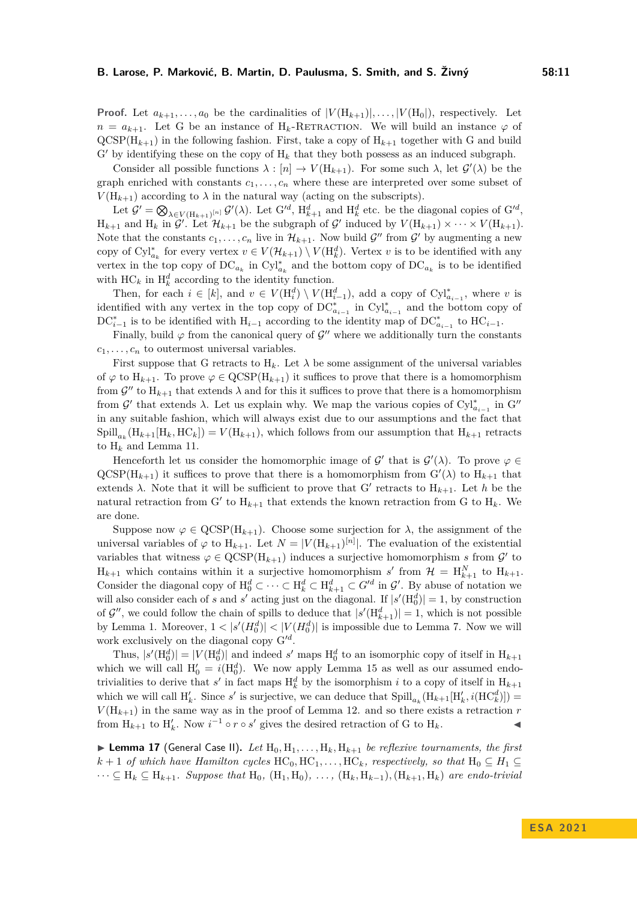**Proof.** Let  $a_{k+1}, \ldots, a_0$  be the cardinalities of  $|V(H_{k+1})|, \ldots, |V(H_0|)$ , respectively. Let  $n = a_{k+1}$ . Let G be an instance of H<sub>k</sub>-RETRACTION. We will build an instance  $\varphi$  of  $QCSP(H_{k+1})$  in the following fashion. First, take a copy of  $H_{k+1}$  together with G and build  $G'$  by identifying these on the copy of  $H_k$  that they both possess as an induced subgraph.

Consider all possible functions  $\lambda : [n] \to V(H_{k+1})$ . For some such  $\lambda$ , let  $\mathcal{G}'(\lambda)$  be the graph enriched with constants  $c_1, \ldots, c_n$  where these are interpreted over some subset of  $V(H_{k+1})$  according to  $\lambda$  in the natural way (acting on the subscripts).

Let  $\mathcal{G}' = \bigotimes_{\lambda \in V(H_{k+1})^{[n]}} \mathcal{G}'(\lambda)$ . Let  $G'^d$ ,  $H_{k+1}^d$  and  $H_k^d$  etc. be the diagonal copies of  $G'^d$ ,  $H_{k+1}$  and  $H_k$  in  $\mathcal{G}'$ . Let  $\mathcal{H}_{k+1}$  be the subgraph of  $\mathcal{G}'$  induced by  $V(H_{k+1}) \times \cdots \times V(H_{k+1})$ . Note that the constants  $c_1, \ldots, c_n$  live in  $\mathcal{H}_{k+1}$ . Now build  $\mathcal{G}''$  from  $\mathcal{G}'$  by augmenting a new copy of  $\mathrm{Cyl}_{a_k}^*$  for every vertex  $v \in V(\mathcal{H}_{k+1}) \setminus V(\mathrm{H}_{k}^d)$ . Vertex *v* is to be identified with any vertex in the top copy of  $DC_{a_k}$  in  $Cyl_{a_k}^*$  and the bottom copy of  $DC_{a_k}$  is to be identified with  $HC_k$  in  $H_k^d$  according to the identity function.

Then, for each  $i \in [k]$ , and  $v \in V(H_i^d) \setminus V(H_{i-1}^d)$ , add a copy of  $Cyl_{a_{i-1}}^*$ , where *v* is identified with any vertex in the top copy of  $DC^*_{a_{i-1}}$  in  $Cyl^*_{a_{i-1}}$  and the bottom copy of  $DC_{i-1}^*$  is to be identified with  $H_{i-1}$  according to the identity map of  $DC_{a_{i-1}}^*$  to  $HC_{i-1}$ .

Finally, build  $\varphi$  from the canonical query of  $\mathcal{G}''$  where we additionally turn the constants  $c_1, \ldots, c_n$  to outermost universal variables.

First suppose that G retracts to  $H_k$ . Let  $\lambda$  be some assignment of the universal variables of  $\varphi$  to  $H_{k+1}$ . To prove  $\varphi \in \text{QCSP}(H_{k+1})$  it suffices to prove that there is a homomorphism from  $\mathcal{G}''$  to  $H_{k+1}$  that extends  $\lambda$  and for this it suffices to prove that there is a homomorphism from *G'* that extends *λ*. Let us explain why. We map the various copies of  $Cyl^*_{a_{i-1}}$  in  $G''$ in any suitable fashion, which will always exist due to our assumptions and the fact that  $\text{Spill}_{a_k}(\text{H}_{k+1}[\text{H}_k, \text{HC}_k]) = V(\text{H}_{k+1}),$  which follows from our assumption that  $\text{H}_{k+1}$  retracts to  $H_k$  and Lemma [11.](#page-5-1)

Henceforth let us consider the homomorphic image of  $\mathcal{G}'$  that is  $\mathcal{G}'(\lambda)$ . To prove  $\varphi \in$  $QCSP(H_{k+1})$  it suffices to prove that there is a homomorphism from  $G'(\lambda)$  to  $H_{k+1}$  that extends  $\lambda$ . Note that it will be sufficient to prove that G' retracts to  $H_{k+1}$ . Let  $h$  be the natural retraction from G' to  $H_{k+1}$  that extends the known retraction from G to  $H_k$ . We are done.

Suppose now  $\varphi \in \text{QCSP}(\mathcal{H}_{k+1})$ . Choose some surjection for  $\lambda$ , the assignment of the universal variables of  $\varphi$  to  $H_{k+1}$ . Let  $N = |V(H_{k+1})^{[n]}|$ . The evaluation of the existential variables that witness  $\varphi \in \text{QCSP}(\mathcal{H}_{k+1})$  induces a surjective homomorphism *s* from  $\mathcal{G}'$  to  $H_{k+1}$  which contains within it a surjective homomorphism *s'* from  $\mathcal{H} = H_{k+1}^N$  to  $H_{k+1}$ . Consider the diagonal copy of  $H_0^d \subset \cdots \subset H_k^d \subset H_{k+1}^d \subset G'^d$  in  $\mathcal{G}'$ . By abuse of notation we will also consider each of *s* and *s'* acting just on the diagonal. If  $|s'(H_0^d)| = 1$ , by construction of  $\mathcal{G}''$ , we could follow the chain of spills to deduce that  $|s'(H_{k+1}^d)| = 1$ , which is not possible by Lemma [1.](#page-3-0) Moreover,  $1 < |s'(H_0^d)| < |V(H_0^d)|$  is impossible due to Lemma [7.](#page-4-5) Now we will work exclusively on the diagonal copy  $G'^d$ .

Thus,  $|s'(H_0^d)| = |V(H_0^d)|$  and indeed *s'* maps  $H_0^d$  to an isomorphic copy of itself in  $H_{k+1}$ which we will call  $H'_0 = i(H_0^d)$ . We now apply Lemma [15](#page-9-0) as well as our assumed endotrivialities to derive that  $s'$  in fact maps  $H_k^d$  by the isomorphism *i* to a copy of itself in  $H_{k+1}$ which we will call  $H'_{k}$ . Since *s'* is surjective, we can deduce that  $\text{Spill}_{a_{k}}(\text{H}_{k+1}[\text{H}'_{k}, i(\text{HC}'_{k})])$  $V(H_{k+1})$  in the same way as in the proof of Lemma [12.](#page-6-1) and so there exists a retraction *r* from  $H_{k+1}$  to  $H'_{k}$ . Now  $i^{-1} \circ r \circ s'$  gives the desired retraction of G to  $H_{k}$ .

<span id="page-10-0"></span> $\blacktriangleright$  **Lemma 17** (General Case II). Let  $H_0, H_1, \ldots, H_k, H_{k+1}$  be reflexive tournaments, the first  $k+1$  *of which have Hamilton cycles*  $HC_0, HC_1, \ldots, HC_k$ *, respectively, so that*  $H_0 \subseteq H_1 \subseteq$  $\dots \subseteq H_k ⊆ H_{k+1}$ *. Suppose that*  $H_0$ *,*  $(H_1, H_0)$ *, ...,*  $(H_k, H_{k-1})$ *,*  $(H_{k+1}, H_k)$  *are endo-trivial*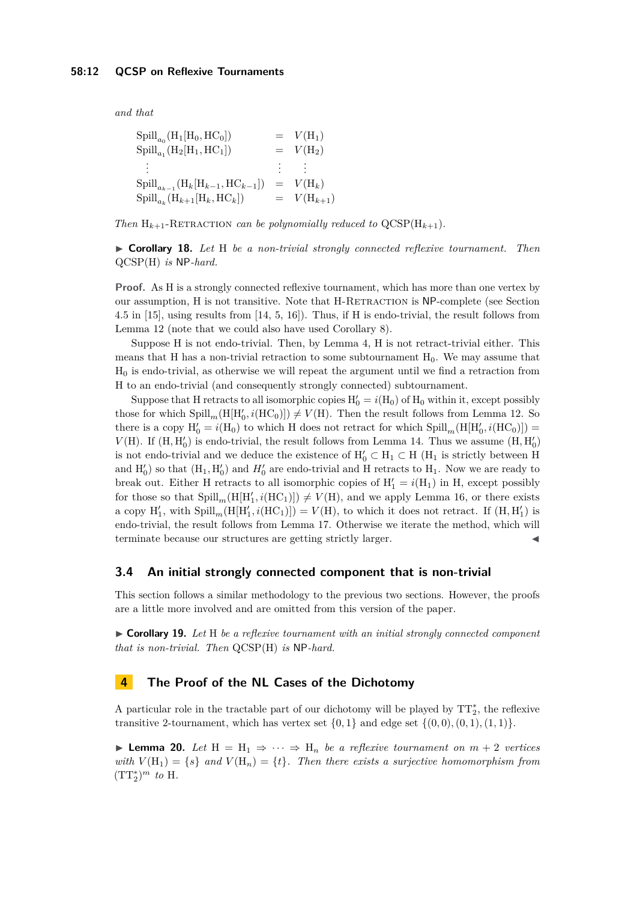*and that*

| $\text{Spill}_{a_0}(\text{H}_1[\text{H}_0, \text{HC}_0])$             |           | $= V(H_1)$                              |
|-----------------------------------------------------------------------|-----------|-----------------------------------------|
| $\text{Spill}_{a_1}(\text{H}_2[\text{H}_1,\text{HC}_1])$              |           | $= V(H_2)$                              |
|                                                                       |           | $\mathcal{L}^{\text{max}}(\mathcal{L})$ |
| $\text{Spill}_{a_{k-1}}(\text{H}_k[\text{H}_{k-1}, \text{HC}_{k-1}])$ | $\, = \,$ | $V(H_k)$                                |
| $\text{Spill}_{a_k}(\text{H}_{k+1}[\text{H}_k,\text{HC}_k])$          |           | $= V(H_{k+1})$                          |

*Then*  $H_{k+1}$ -RETRACTION *can be polynomially reduced to*  $QCSP(H_{k+1})$ *.* 

<span id="page-11-2"></span>▶ **Corollary 18.** *Let* H *be a non-trivial strongly connected reflexive tournament. Then* QCSP(H) *is* NP*-hard.*

**Proof.** As H is a strongly connected reflexive tournament, which has more than one vertex by our assumption, H is not transitive. Note that H-RETRACTION is NP-complete (see Section 4.5 in [\[15\]](#page-13-5), using results from [\[14,](#page-13-10) [5,](#page-13-1) [16\]](#page-13-16)). Thus, if H is endo-trivial, the result follows from Lemma [12](#page-6-1) (note that we could also have used Corollary [8\)](#page-4-6).

Suppose H is not endo-trivial. Then, by Lemma [4,](#page-4-7) H is not retract-trivial either. This means that H has a non-trivial retraction to some subtournament  $H_0$ . We may assume that  $H_0$  is endo-trivial, as otherwise we will repeat the argument until we find a retraction from H to an endo-trivial (and consequently strongly connected) subtournament.

Suppose that H retracts to all isomorphic copies  $H'_0 = i(H_0)$  of  $H_0$  within it, except possibly those for which  $\text{Spill}_m(H[H'_0, i(HC_0)]) \neq V(H)$ . Then the result follows from Lemma [12.](#page-6-1) So there is a copy  $H'_0 = i(H_0)$  to which H does not retract for which  $\text{Spill}_m(H[H'_0, i(HC_0)])$  $V(H)$ . If  $(H, H'_0)$  is endo-trivial, the result follows from Lemma [14.](#page-8-2) Thus we assume  $(H, H'_0)$ is not endo-trivial and we deduce the existence of  $H'_0 \subset H_1 \subset H$  ( $H_1$  is strictly between H and  $H'_0$ ) so that  $(H_1, H'_0)$  and  $H'_0$  are endo-trivial and H retracts to  $H_1$ . Now we are ready to break out. Either H retracts to all isomorphic copies of  $H'_1 = i(H_1)$  in H, except possibly for those so that  $\text{Spill}_m(H[H'_1, i(HC_1)]) \neq V(H)$ , and we apply Lemma [16,](#page-9-1) or there exists a copy  $H'_1$ , with  $\text{Spill}_m(H[H'_1,i(HC_1)]) = V(H)$ , to which it does not retract. If  $(H,H'_1)$  is endo-trivial, the result follows from Lemma [17.](#page-10-0) Otherwise we iterate the method, which will terminate because our structures are getting strictly larger.

#### **3.4 An initial strongly connected component that is non-trivial**

This section follows a similar methodology to the previous two sections. However, the proofs are a little more involved and are omitted from this version of the paper.

<span id="page-11-3"></span>▶ **Corollary 19.** *Let* H *be a reflexive tournament with an initial strongly connected component that is non-trivial. Then* QCSP(H) *is* NP*-hard.*

# <span id="page-11-0"></span>**4 The Proof of the NL Cases of the Dichotomy**

A particular role in the tractable part of our dichotomy will be played by  $TT_2^*$ , the reflexive transitive 2-tournament, which has vertex set  $\{0, 1\}$  and edge set  $\{(0, 0), (0, 1), (1, 1)\}$ .

<span id="page-11-1"></span>**► Lemma 20.** Let  $H = H_1 \Rightarrow \cdots \Rightarrow H_n$  be a reflexive tournament on  $m + 2$  vertices *with*  $V(H_1) = \{s\}$  *and*  $V(H_n) = \{t\}$ *. Then there exists a surjective homomorphism from*  $(TT_2^*)^m$  *to* H.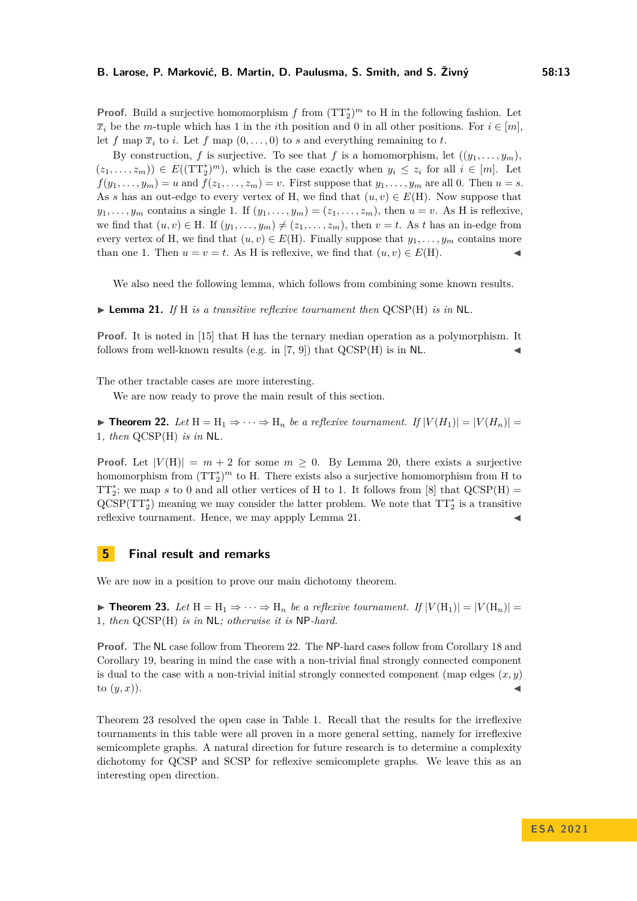**Proof.** Build a surjective homomorphism  $f$  from  $(TT_2^*)^m$  to H in the following fashion. Let  $\overline{x}$ *i* be the *m*-tuple which has 1 in the *i*th position and 0 in all other positions. For  $i \in [m]$ , let *f* map  $\overline{x}_i$  to *i*. Let *f* map  $(0, \ldots, 0)$  to *s* and everything remaining to *t*.

By construction, *f* is surjective. To see that *f* is a homomorphism, let  $((y_1, \ldots, y_m))$ ,  $(z_1, \ldots, z_m)$   $\in E((TT_2^*)^m)$ , which is the case exactly when  $y_i \leq z_i$  for all  $i \in [m]$ . Let  $f(y_1, \ldots, y_m) = u$  and  $f(z_1, \ldots, z_m) = v$ . First suppose that  $y_1, \ldots, y_m$  are all 0. Then  $u = s$ . As *s* has an out-edge to every vertex of H, we find that  $(u, v) \in E(H)$ . Now suppose that  $y_1, \ldots, y_m$  contains a single 1. If  $(y_1, \ldots, y_m) = (z_1, \ldots, z_m)$ , then  $u = v$ . As H is reflexive, we find that  $(u, v) \in H$ . If  $(y_1, \ldots, y_m) \neq (z_1, \ldots, z_m)$ , then  $v = t$ . As *t* has an in-edge from every vertex of H, we find that  $(u, v) \in E(H)$ . Finally suppose that  $y_1, \ldots, y_m$  contains more than one 1. Then  $u = v = t$ . As H is reflexive, we find that  $(u, v) \in E(H)$ .

We also need the following lemma, which follows from combining some known results.

<span id="page-12-1"></span>▶ **Lemma 21.** *If* H *is a transitive reflexive tournament then* QCSP(H) *is in* NL*.*

**Proof.** It is noted in [\[15\]](#page-13-5) that H has the ternary median operation as a polymorphism. It follows from well-known results (e.g. in  $[7, 9]$  $[7, 9]$ ) that  $QCSP(H)$  is in NL.

The other tractable cases are more interesting.

We are now ready to prove the main result of this section.

<span id="page-12-2"></span>▶ **Theorem 22.** Let  $H = H_1 \Rightarrow \cdots \Rightarrow H_n$  be a reflexive tournament. If  $|V(H_1)| = |V(H_n)| =$ 1*, then* QCSP(H) *is in* NL*.*

**Proof.** Let  $|V(H)| = m + 2$  for some  $m \geq 0$ . By Lemma [20,](#page-11-1) there exists a surjective homomorphism from  $(TT_2^*)^m$  to H. There exists also a surjective homomorphism from H to TT<sup>\*</sup><sub>2</sub>; we map *s* to 0 and all other vertices of H to 1. It follows from [\[8\]](#page-13-11) that  $QCSP(H)$  =  $QCSP(TT<sub>2</sub><sup>*</sup>)$  meaning we may consider the latter problem. We note that  $TT<sub>2</sub><sup>*</sup>$  is a transitive reflexive tournament. Hence, we may appply Lemma [21.](#page-12-1)

#### <span id="page-12-0"></span>**5 Final result and remarks**

<span id="page-12-3"></span>We are now in a position to prove our main dichotomy theorem.

▶ **Theorem 23.** Let  $H = H_1 \Rightarrow \cdots \Rightarrow H_n$  be a reflexive tournament. If  $|V(H_1)| = |V(H_n)| =$ 1*, then* QCSP(H) *is in* NL*; otherwise it is* NP*-hard.*

**Proof.** The NL case follow from Theorem [22.](#page-12-2) The NP-hard cases follow from Corollary [18](#page-11-2) and Corollary [19,](#page-11-3) bearing in mind the case with a non-trivial final strongly connected component is dual to the case with a non-trivial initial strongly connected component (map edges  $(x, y)$ ) to  $(y, x)$ ).

Theorem [23](#page-12-3) resolved the open case in Table [1.](#page-2-0) Recall that the results for the irreflexive tournaments in this table were all proven in a more general setting, namely for irreflexive semicomplete graphs. A natural direction for future research is to determine a complexity dichotomy for QCSP and SCSP for reflexive semicomplete graphs. We leave this as an interesting open direction.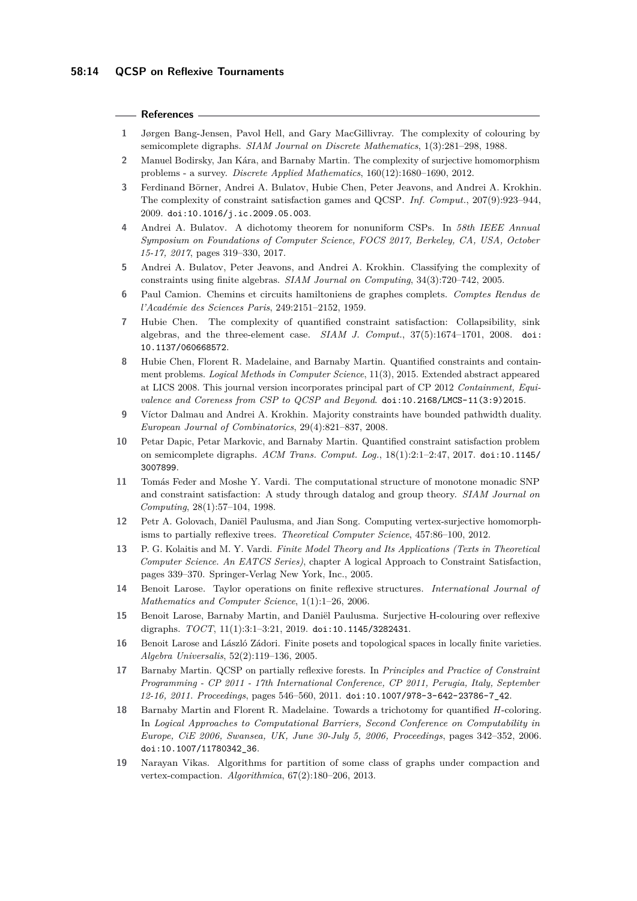#### **References**

- <span id="page-13-8"></span>**1** Jørgen Bang-Jensen, Pavol Hell, and Gary MacGillivray. The complexity of colouring by semicomplete digraphs. *SIAM Journal on Discrete Mathematics*, 1(3):281–298, 1988.
- <span id="page-13-3"></span>**2** Manuel Bodirsky, Jan Kára, and Barnaby Martin. The complexity of surjective homomorphism problems - a survey. *Discrete Applied Mathematics*, 160(12):1680–1690, 2012.
- <span id="page-13-14"></span>**3** Ferdinand Börner, Andrei A. Bulatov, Hubie Chen, Peter Jeavons, and Andrei A. Krokhin. The complexity of constraint satisfaction games and QCSP. *Inf. Comput.*, 207(9):923–944, 2009. [doi:10.1016/j.ic.2009.05.003](https://doi.org/10.1016/j.ic.2009.05.003).
- <span id="page-13-2"></span>**4** Andrei A. Bulatov. A dichotomy theorem for nonuniform CSPs. In *58th IEEE Annual Symposium on Foundations of Computer Science, FOCS 2017, Berkeley, CA, USA, October 15-17, 2017*, pages 319–330, 2017.
- <span id="page-13-1"></span>**5** Andrei A. Bulatov, Peter Jeavons, and Andrei A. Krokhin. Classifying the complexity of constraints using finite algebras. *SIAM Journal on Computing*, 34(3):720–742, 2005.
- <span id="page-13-15"></span>**6** Paul Camion. Chemins et circuits hamiltoniens de graphes complets. *Comptes Rendus de l'Académie des Sciences Paris*, 249:2151–2152, 1959.
- <span id="page-13-17"></span>**7** Hubie Chen. The complexity of quantified constraint satisfaction: Collapsibility, sink algebras, and the three-element case. *SIAM J. Comput.*, 37(5):1674–1701, 2008. [doi:](https://doi.org/10.1137/060668572) [10.1137/060668572](https://doi.org/10.1137/060668572).
- <span id="page-13-11"></span>**8** Hubie Chen, Florent R. Madelaine, and Barnaby Martin. Quantified constraints and containment problems. *Logical Methods in Computer Science*, 11(3), 2015. Extended abstract appeared at LICS 2008. This journal version incorporates principal part of CP 2012 *Containment, Equivalence and Coreness from CSP to QCSP and Beyond*. [doi:10.2168/LMCS-11\(3:9\)2015](https://doi.org/10.2168/LMCS-11(3:9)2015).
- <span id="page-13-18"></span>**9** Víctor Dalmau and Andrei A. Krokhin. Majority constraints have bounded pathwidth duality. *European Journal of Combinatorics*, 29(4):821–837, 2008.
- <span id="page-13-9"></span>**10** Petar Dapic, Petar Markovic, and Barnaby Martin. Quantified constraint satisfaction problem on semicomplete digraphs. *ACM Trans. Comput. Log.*, 18(1):2:1–2:47, 2017. [doi:10.1145/](https://doi.org/10.1145/3007899) [3007899](https://doi.org/10.1145/3007899).
- <span id="page-13-0"></span>**11** Tomás Feder and Moshe Y. Vardi. The computational structure of monotone monadic SNP and constraint satisfaction: A study through datalog and group theory. *SIAM Journal on Computing*, 28(1):57–104, 1998.
- <span id="page-13-4"></span>**12** Petr A. Golovach, Daniël Paulusma, and Jian Song. Computing vertex-surjective homomorphisms to partially reflexive trees. *Theoretical Computer Science*, 457:86–100, 2012.
- <span id="page-13-13"></span>**13** P. G. Kolaitis and M. Y. Vardi. *Finite Model Theory and Its Applications (Texts in Theoretical Computer Science. An EATCS Series)*, chapter A logical Approach to Constraint Satisfaction, pages 339–370. Springer-Verlag New York, Inc., 2005.
- <span id="page-13-10"></span>**14** Benoit Larose. Taylor operations on finite reflexive structures. *International Journal of Mathematics and Computer Science*, 1(1):1–26, 2006.
- <span id="page-13-5"></span>**15** Benoit Larose, Barnaby Martin, and Daniël Paulusma. Surjective H-colouring over reflexive digraphs. *TOCT*, 11(1):3:1–3:21, 2019. [doi:10.1145/3282431](https://doi.org/10.1145/3282431).
- <span id="page-13-16"></span>**16** Benoit Larose and László Zádori. Finite posets and topological spaces in locally finite varieties. *Algebra Universalis*, 52(2):119–136, 2005.
- <span id="page-13-12"></span>**17** Barnaby Martin. QCSP on partially reflexive forests. In *Principles and Practice of Constraint Programming - CP 2011 - 17th International Conference, CP 2011, Perugia, Italy, September 12-16, 2011. Proceedings*, pages 546–560, 2011. [doi:10.1007/978-3-642-23786-7\\_42](https://doi.org/10.1007/978-3-642-23786-7_42).
- <span id="page-13-7"></span>**18** Barnaby Martin and Florent R. Madelaine. Towards a trichotomy for quantified *H*-coloring. In *Logical Approaches to Computational Barriers, Second Conference on Computability in Europe, CiE 2006, Swansea, UK, June 30-July 5, 2006, Proceedings*, pages 342–352, 2006. [doi:10.1007/11780342\\_36](https://doi.org/10.1007/11780342_36).
- <span id="page-13-6"></span>**19** Narayan Vikas. Algorithms for partition of some class of graphs under compaction and vertex-compaction. *Algorithmica*, 67(2):180–206, 2013.